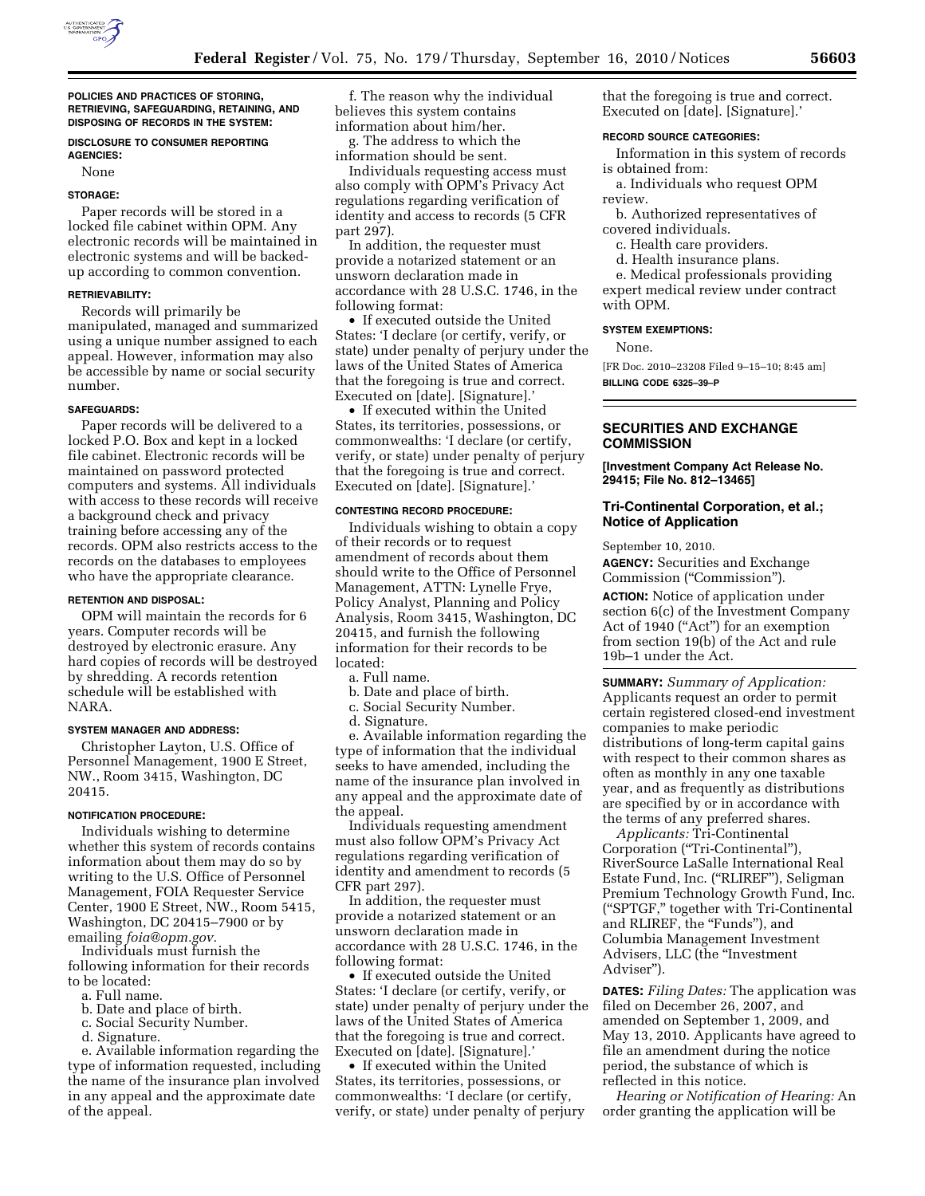

**POLICIES AND PRACTICES OF STORING, RETRIEVING, SAFEGUARDING, RETAINING, AND DISPOSING OF RECORDS IN THE SYSTEM:** 

## **DISCLOSURE TO CONSUMER REPORTING AGENCIES:**

None

## **STORAGE:**

Paper records will be stored in a locked file cabinet within OPM. Any electronic records will be maintained in electronic systems and will be backedup according to common convention.

### **RETRIEVABILITY:**

Records will primarily be manipulated, managed and summarized using a unique number assigned to each appeal. However, information may also be accessible by name or social security number.

### **SAFEGUARDS:**

Paper records will be delivered to a locked P.O. Box and kept in a locked file cabinet. Electronic records will be maintained on password protected computers and systems. All individuals with access to these records will receive a background check and privacy training before accessing any of the records. OPM also restricts access to the records on the databases to employees who have the appropriate clearance.

## **RETENTION AND DISPOSAL:**

OPM will maintain the records for 6 years. Computer records will be destroyed by electronic erasure. Any hard copies of records will be destroyed by shredding. A records retention schedule will be established with NARA.

### **SYSTEM MANAGER AND ADDRESS:**

Christopher Layton, U.S. Office of Personnel Management, 1900 E Street, NW., Room 3415, Washington, DC 20415.

## **NOTIFICATION PROCEDURE:**

Individuals wishing to determine whether this system of records contains information about them may do so by writing to the U.S. Office of Personnel Management, FOIA Requester Service Center, 1900 E Street, NW., Room 5415, Washington, DC 20415–7900 or by emailing *[foia@opm.gov.](mailto:foia@opm.gov)* 

Individuals must furnish the following information for their records to be located:

- a. Full name.
- b. Date and place of birth.
- c. Social Security Number.
- d. Signature.

e. Available information regarding the type of information requested, including the name of the insurance plan involved in any appeal and the approximate date of the appeal.

f. The reason why the individual believes this system contains information about him/her.

g. The address to which the information should be sent.

Individuals requesting access must also comply with OPM's Privacy Act regulations regarding verification of identity and access to records (5 CFR part 297).

In addition, the requester must provide a notarized statement or an unsworn declaration made in accordance with 28 U.S.C. 1746, in the following format:

• If executed outside the United States: 'I declare (or certify, verify, or state) under penalty of perjury under the laws of the United States of America that the foregoing is true and correct. Executed on [date]. [Signature].'

• If executed within the United States, its territories, possessions, or commonwealths: 'I declare (or certify, verify, or state) under penalty of perjury that the foregoing is true and correct. Executed on [date]. [Signature].'

#### **CONTESTING RECORD PROCEDURE:**

Individuals wishing to obtain a copy of their records or to request amendment of records about them should write to the Office of Personnel Management, ATTN: Lynelle Frye, Policy Analyst, Planning and Policy Analysis, Room 3415, Washington, DC 20415, and furnish the following information for their records to be located:

a. Full name.

- b. Date and place of birth.
- c. Social Security Number.
- d. Signature.

e. Available information regarding the type of information that the individual seeks to have amended, including the name of the insurance plan involved in any appeal and the approximate date of the appeal.

Individuals requesting amendment must also follow OPM's Privacy Act regulations regarding verification of identity and amendment to records (5 CFR part 297).

In addition, the requester must provide a notarized statement or an unsworn declaration made in accordance with 28 U.S.C. 1746, in the following format:

• If executed outside the United States: 'I declare (or certify, verify, or state) under penalty of perjury under the laws of the United States of America that the foregoing is true and correct. Executed on [date]. [Signature].'

• If executed within the United States, its territories, possessions, or commonwealths: 'I declare (or certify, verify, or state) under penalty of perjury that the foregoing is true and correct. Executed on [date]. [Signature].'

#### **RECORD SOURCE CATEGORIES:**

Information in this system of records is obtained from:

a. Individuals who request OPM review.

b. Authorized representatives of covered individuals.

- c. Health care providers.
- d. Health insurance plans.

e. Medical professionals providing expert medical review under contract with OPM.

## **SYSTEM EXEMPTIONS:**

None.

[FR Doc. 2010–23208 Filed 9–15–10; 8:45 am] **BILLING CODE 6325–39–P** 

## **SECURITIES AND EXCHANGE COMMISSION**

**[Investment Company Act Release No. 29415; File No. 812–13465]** 

# **Tri-Continental Corporation, et al.; Notice of Application**

September 10, 2010.

**AGENCY:** Securities and Exchange Commission (''Commission'').

**ACTION:** Notice of application under section 6(c) of the Investment Company Act of 1940 ("Act") for an exemption from section 19(b) of the Act and rule 19b–1 under the Act.

**SUMMARY:** *Summary of Application:*  Applicants request an order to permit certain registered closed-end investment companies to make periodic distributions of long-term capital gains with respect to their common shares as often as monthly in any one taxable year, and as frequently as distributions are specified by or in accordance with the terms of any preferred shares.

*Applicants:* Tri-Continental Corporation (''Tri-Continental''), RiverSource LaSalle International Real Estate Fund, Inc. (''RLIREF''), Seligman Premium Technology Growth Fund, Inc. (''SPTGF,'' together with Tri-Continental and RLIREF, the "Funds"), and Columbia Management Investment Advisers, LLC (the ''Investment Adviser'').

**DATES:** *Filing Dates:* The application was filed on December 26, 2007, and amended on September 1, 2009, and May 13, 2010. Applicants have agreed to file an amendment during the notice period, the substance of which is reflected in this notice.

*Hearing or Notification of Hearing:* An order granting the application will be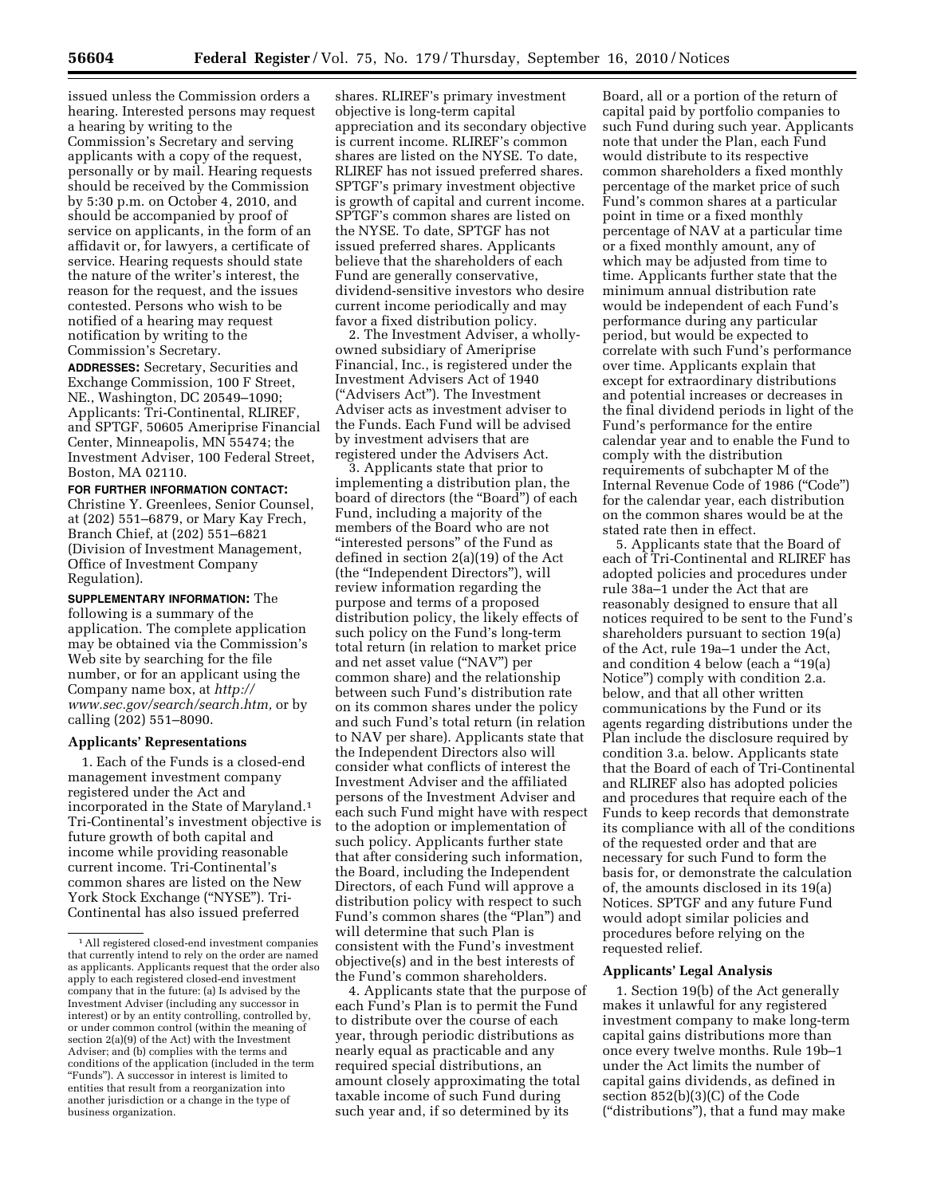issued unless the Commission orders a hearing. Interested persons may request a hearing by writing to the Commission's Secretary and serving applicants with a copy of the request, personally or by mail. Hearing requests should be received by the Commission by 5:30 p.m. on October 4, 2010, and should be accompanied by proof of service on applicants, in the form of an affidavit or, for lawyers, a certificate of service. Hearing requests should state the nature of the writer's interest, the reason for the request, and the issues contested. Persons who wish to be notified of a hearing may request notification by writing to the Commission's Secretary.

**ADDRESSES:** Secretary, Securities and Exchange Commission, 100 F Street, NE., Washington, DC 20549–1090; Applicants: Tri-Continental, RLIREF, and SPTGF, 50605 Ameriprise Financial Center, Minneapolis, MN 55474; the Investment Adviser, 100 Federal Street, Boston, MA 02110.

#### **FOR FURTHER INFORMATION CONTACT:**

Christine Y. Greenlees, Senior Counsel, at (202) 551–6879, or Mary Kay Frech, Branch Chief, at (202) 551–6821 (Division of Investment Management, Office of Investment Company Regulation).

**SUPPLEMENTARY INFORMATION:** The following is a summary of the application. The complete application may be obtained via the Commission's Web site by searching for the file number, or for an applicant using the Company name box, at *[http://](http://www.sec.gov/search/search.htm) [www.sec.gov/search/search.htm,](http://www.sec.gov/search/search.htm)* or by calling (202) 551–8090.

## **Applicants' Representations**

1. Each of the Funds is a closed-end management investment company registered under the Act and incorporated in the State of Maryland.1 Tri-Continental's investment objective is future growth of both capital and income while providing reasonable current income. Tri-Continental's common shares are listed on the New York Stock Exchange ("NYSE"). Tri-Continental has also issued preferred

shares. RLIREF's primary investment objective is long-term capital appreciation and its secondary objective is current income. RLIREF's common shares are listed on the NYSE. To date, RLIREF has not issued preferred shares. SPTGF's primary investment objective is growth of capital and current income. SPTGF's common shares are listed on the NYSE. To date, SPTGF has not issued preferred shares. Applicants believe that the shareholders of each Fund are generally conservative, dividend-sensitive investors who desire current income periodically and may favor a fixed distribution policy.

2. The Investment Adviser, a whollyowned subsidiary of Ameriprise Financial, Inc., is registered under the Investment Advisers Act of 1940 (''Advisers Act''). The Investment Adviser acts as investment adviser to the Funds. Each Fund will be advised by investment advisers that are registered under the Advisers Act.

3. Applicants state that prior to implementing a distribution plan, the board of directors (the ''Board'') of each Fund, including a majority of the members of the Board who are not "interested persons" of the Fund as defined in section 2(a)(19) of the Act (the ''Independent Directors''), will review information regarding the purpose and terms of a proposed distribution policy, the likely effects of such policy on the Fund's long-term total return (in relation to market price and net asset value (''NAV'') per common share) and the relationship between such Fund's distribution rate on its common shares under the policy and such Fund's total return (in relation to NAV per share). Applicants state that the Independent Directors also will consider what conflicts of interest the Investment Adviser and the affiliated persons of the Investment Adviser and each such Fund might have with respect to the adoption or implementation of such policy. Applicants further state that after considering such information, the Board, including the Independent Directors, of each Fund will approve a distribution policy with respect to such Fund's common shares (the "Plan") and will determine that such Plan is consistent with the Fund's investment objective(s) and in the best interests of the Fund's common shareholders.

4. Applicants state that the purpose of each Fund's Plan is to permit the Fund to distribute over the course of each year, through periodic distributions as nearly equal as practicable and any required special distributions, an amount closely approximating the total taxable income of such Fund during such year and, if so determined by its

Board, all or a portion of the return of capital paid by portfolio companies to such Fund during such year. Applicants note that under the Plan, each Fund would distribute to its respective common shareholders a fixed monthly percentage of the market price of such Fund's common shares at a particular point in time or a fixed monthly percentage of NAV at a particular time or a fixed monthly amount, any of which may be adjusted from time to time. Applicants further state that the minimum annual distribution rate would be independent of each Fund's performance during any particular period, but would be expected to correlate with such Fund's performance over time. Applicants explain that except for extraordinary distributions and potential increases or decreases in the final dividend periods in light of the Fund's performance for the entire calendar year and to enable the Fund to comply with the distribution requirements of subchapter M of the Internal Revenue Code of 1986 (''Code'') for the calendar year, each distribution on the common shares would be at the stated rate then in effect.

5. Applicants state that the Board of each of Tri-Continental and RLIREF has adopted policies and procedures under rule 38a–1 under the Act that are reasonably designed to ensure that all notices required to be sent to the Fund's shareholders pursuant to section 19(a) of the Act, rule 19a–1 under the Act, and condition 4 below (each a ''19(a) Notice'') comply with condition 2.a. below, and that all other written communications by the Fund or its agents regarding distributions under the Plan include the disclosure required by condition 3.a. below. Applicants state that the Board of each of Tri-Continental and RLIREF also has adopted policies and procedures that require each of the Funds to keep records that demonstrate its compliance with all of the conditions of the requested order and that are necessary for such Fund to form the basis for, or demonstrate the calculation of, the amounts disclosed in its 19(a) Notices. SPTGF and any future Fund would adopt similar policies and procedures before relying on the requested relief.

# **Applicants' Legal Analysis**

1. Section 19(b) of the Act generally makes it unlawful for any registered investment company to make long-term capital gains distributions more than once every twelve months. Rule 19b–1 under the Act limits the number of capital gains dividends, as defined in section 852(b)(3)(C) of the Code (''distributions''), that a fund may make

<sup>1</sup>All registered closed-end investment companies that currently intend to rely on the order are named as applicants. Applicants request that the order also apply to each registered closed-end investment company that in the future: (a) Is advised by the Investment Adviser (including any successor in interest) or by an entity controlling, controlled by, or under common control (within the meaning of section 2(a)(9) of the Act) with the Investment Adviser; and (b) complies with the terms and conditions of the application (included in the term ''Funds''). A successor in interest is limited to entities that result from a reorganization into another jurisdiction or a change in the type of business organization.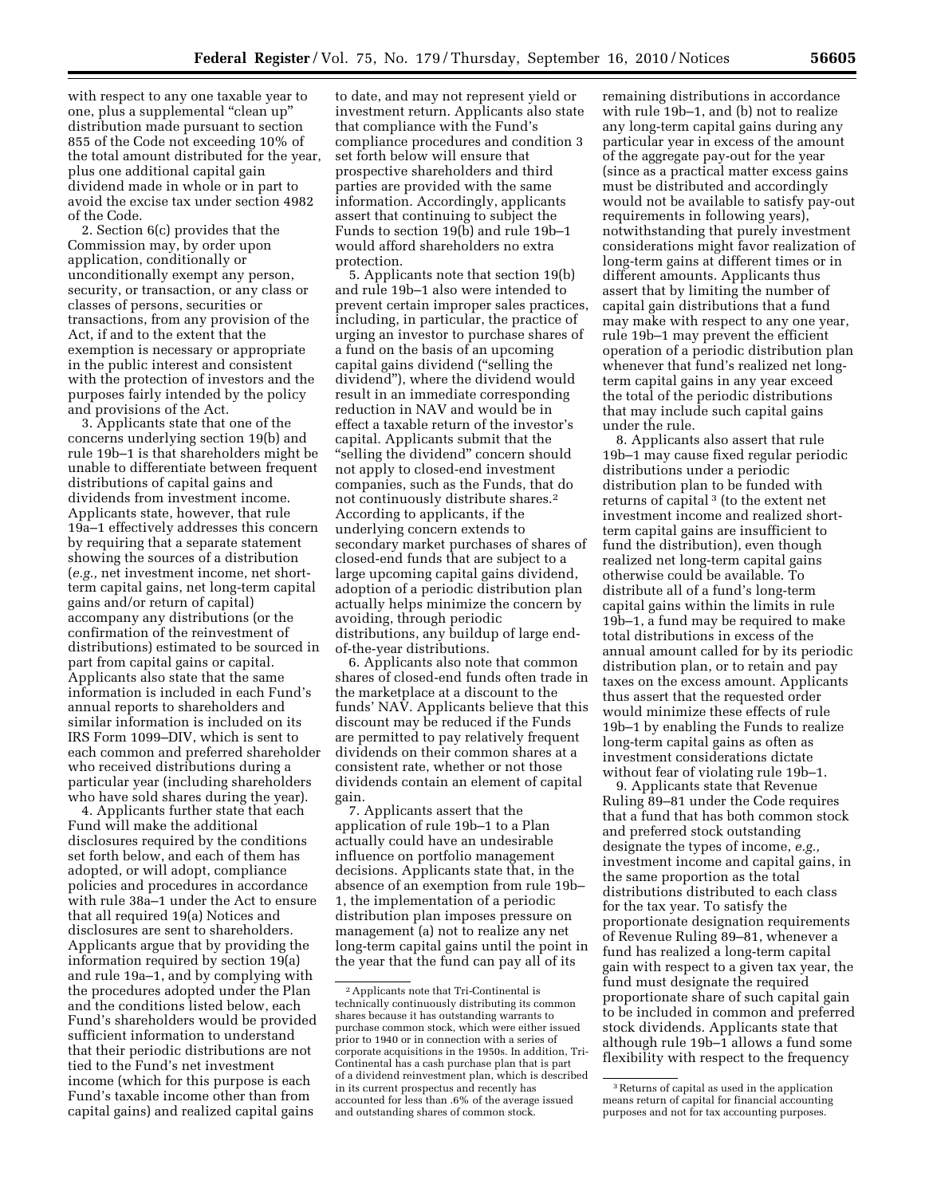with respect to any one taxable year to one, plus a supplemental ''clean up'' distribution made pursuant to section 855 of the Code not exceeding 10% of the total amount distributed for the year, plus one additional capital gain dividend made in whole or in part to avoid the excise tax under section 4982 of the Code.

2. Section 6(c) provides that the Commission may, by order upon application, conditionally or unconditionally exempt any person, security, or transaction, or any class or classes of persons, securities or transactions, from any provision of the Act, if and to the extent that the exemption is necessary or appropriate in the public interest and consistent with the protection of investors and the purposes fairly intended by the policy and provisions of the Act.

3. Applicants state that one of the concerns underlying section 19(b) and rule 19b–1 is that shareholders might be unable to differentiate between frequent distributions of capital gains and dividends from investment income. Applicants state, however, that rule 19a–1 effectively addresses this concern by requiring that a separate statement showing the sources of a distribution (*e.g.,* net investment income, net shortterm capital gains, net long-term capital gains and/or return of capital) accompany any distributions (or the confirmation of the reinvestment of distributions) estimated to be sourced in part from capital gains or capital. Applicants also state that the same information is included in each Fund's annual reports to shareholders and similar information is included on its IRS Form 1099–DIV, which is sent to each common and preferred shareholder who received distributions during a particular year (including shareholders who have sold shares during the year).

4. Applicants further state that each Fund will make the additional disclosures required by the conditions set forth below, and each of them has adopted, or will adopt, compliance policies and procedures in accordance with rule 38a–1 under the Act to ensure that all required 19(a) Notices and disclosures are sent to shareholders. Applicants argue that by providing the information required by section 19(a) and rule 19a–1, and by complying with the procedures adopted under the Plan and the conditions listed below, each Fund's shareholders would be provided sufficient information to understand that their periodic distributions are not tied to the Fund's net investment income (which for this purpose is each Fund's taxable income other than from capital gains) and realized capital gains

to date, and may not represent yield or investment return. Applicants also state that compliance with the Fund's compliance procedures and condition 3 set forth below will ensure that prospective shareholders and third parties are provided with the same information. Accordingly, applicants assert that continuing to subject the Funds to section 19(b) and rule 19b–1 would afford shareholders no extra protection.

5. Applicants note that section 19(b) and rule 19b–1 also were intended to prevent certain improper sales practices, including, in particular, the practice of urging an investor to purchase shares of a fund on the basis of an upcoming capital gains dividend (''selling the dividend''), where the dividend would result in an immediate corresponding reduction in NAV and would be in effect a taxable return of the investor's capital. Applicants submit that the "selling the dividend" concern should not apply to closed-end investment companies, such as the Funds, that do not continuously distribute shares.2 According to applicants, if the underlying concern extends to secondary market purchases of shares of closed-end funds that are subject to a large upcoming capital gains dividend, adoption of a periodic distribution plan actually helps minimize the concern by avoiding, through periodic distributions, any buildup of large endof-the-year distributions.

6. Applicants also note that common shares of closed-end funds often trade in the marketplace at a discount to the funds' NAV. Applicants believe that this discount may be reduced if the Funds are permitted to pay relatively frequent dividends on their common shares at a consistent rate, whether or not those dividends contain an element of capital gain.

7. Applicants assert that the application of rule 19b–1 to a Plan actually could have an undesirable influence on portfolio management decisions. Applicants state that, in the absence of an exemption from rule 19b– 1, the implementation of a periodic distribution plan imposes pressure on management (a) not to realize any net long-term capital gains until the point in the year that the fund can pay all of its

remaining distributions in accordance with rule 19b–1, and (b) not to realize any long-term capital gains during any particular year in excess of the amount of the aggregate pay-out for the year (since as a practical matter excess gains must be distributed and accordingly would not be available to satisfy pay-out requirements in following years), notwithstanding that purely investment considerations might favor realization of long-term gains at different times or in different amounts. Applicants thus assert that by limiting the number of capital gain distributions that a fund may make with respect to any one year, rule 19b–1 may prevent the efficient operation of a periodic distribution plan whenever that fund's realized net longterm capital gains in any year exceed the total of the periodic distributions that may include such capital gains under the rule.

8. Applicants also assert that rule 19b–1 may cause fixed regular periodic distributions under a periodic distribution plan to be funded with returns of capital 3 (to the extent net investment income and realized shortterm capital gains are insufficient to fund the distribution), even though realized net long-term capital gains otherwise could be available. To distribute all of a fund's long-term capital gains within the limits in rule 19b–1, a fund may be required to make total distributions in excess of the annual amount called for by its periodic distribution plan, or to retain and pay taxes on the excess amount. Applicants thus assert that the requested order would minimize these effects of rule 19b–1 by enabling the Funds to realize long-term capital gains as often as investment considerations dictate without fear of violating rule 19b–1.

9. Applicants state that Revenue Ruling 89–81 under the Code requires that a fund that has both common stock and preferred stock outstanding designate the types of income, *e.g.,*  investment income and capital gains, in the same proportion as the total distributions distributed to each class for the tax year. To satisfy the proportionate designation requirements of Revenue Ruling 89–81, whenever a fund has realized a long-term capital gain with respect to a given tax year, the fund must designate the required proportionate share of such capital gain to be included in common and preferred stock dividends. Applicants state that although rule 19b–1 allows a fund some flexibility with respect to the frequency

<sup>2</sup>Applicants note that Tri-Continental is technically continuously distributing its common shares because it has outstanding warrants to purchase common stock, which were either issued prior to 1940 or in connection with a series of corporate acquisitions in the 1950s. In addition, Tri-Continental has a cash purchase plan that is part of a dividend reinvestment plan, which is described in its current prospectus and recently has accounted for less than .6% of the average issued and outstanding shares of common stock.

<sup>3</sup>Returns of capital as used in the application means return of capital for financial accounting purposes and not for tax accounting purposes.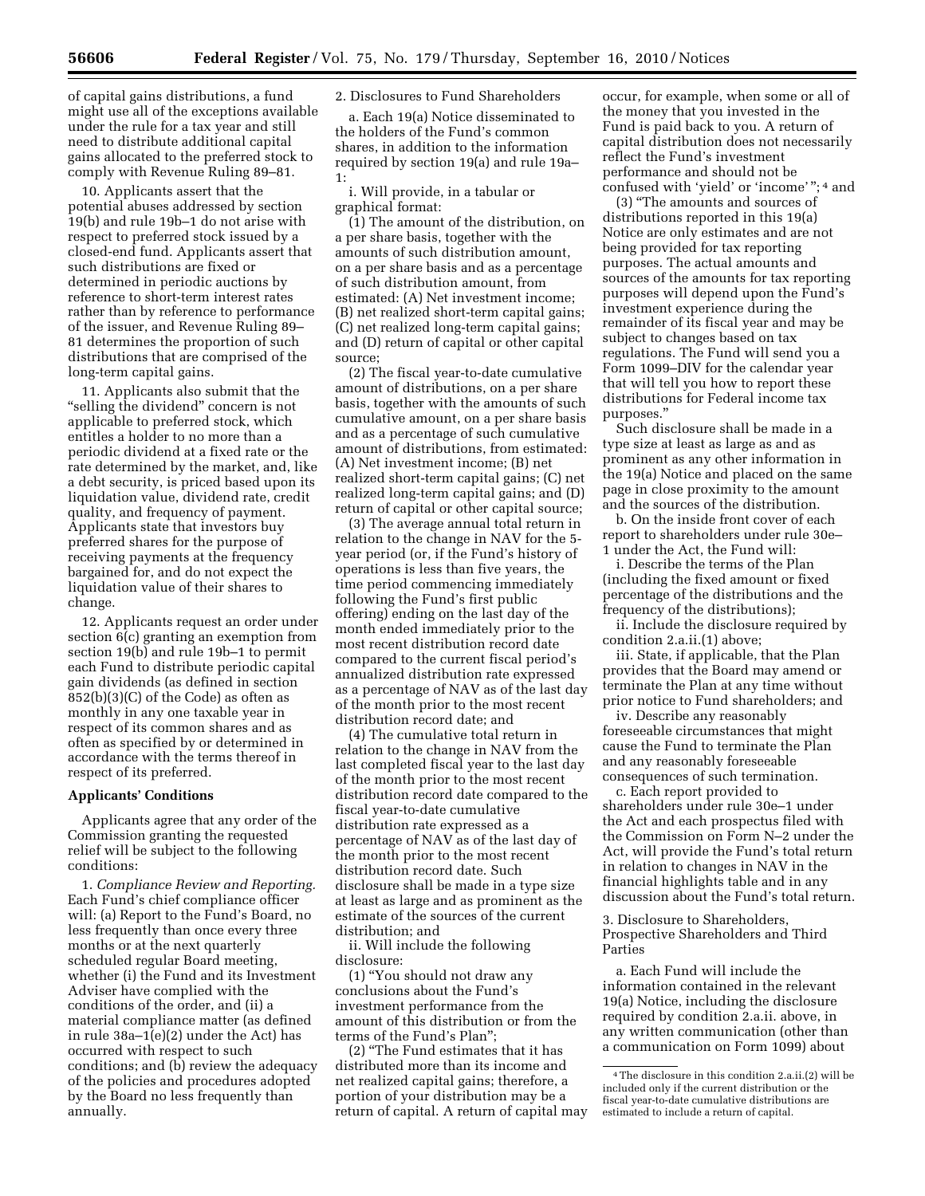of capital gains distributions, a fund might use all of the exceptions available under the rule for a tax year and still need to distribute additional capital gains allocated to the preferred stock to comply with Revenue Ruling 89–81.

10. Applicants assert that the potential abuses addressed by section 19(b) and rule 19b–1 do not arise with respect to preferred stock issued by a closed-end fund. Applicants assert that such distributions are fixed or determined in periodic auctions by reference to short-term interest rates rather than by reference to performance of the issuer, and Revenue Ruling 89– 81 determines the proportion of such distributions that are comprised of the long-term capital gains.

11. Applicants also submit that the "selling the dividend" concern is not applicable to preferred stock, which entitles a holder to no more than a periodic dividend at a fixed rate or the rate determined by the market, and, like a debt security, is priced based upon its liquidation value, dividend rate, credit quality, and frequency of payment. Applicants state that investors buy preferred shares for the purpose of receiving payments at the frequency bargained for, and do not expect the liquidation value of their shares to change.

12. Applicants request an order under section 6(c) granting an exemption from section 19(b) and rule 19b–1 to permit each Fund to distribute periodic capital gain dividends (as defined in section 852(b)(3)(C) of the Code) as often as monthly in any one taxable year in respect of its common shares and as often as specified by or determined in accordance with the terms thereof in respect of its preferred.

# **Applicants' Conditions**

Applicants agree that any order of the Commission granting the requested relief will be subject to the following conditions:

1. *Compliance Review and Reporting.*  Each Fund's chief compliance officer will: (a) Report to the Fund's Board, no less frequently than once every three months or at the next quarterly scheduled regular Board meeting, whether (i) the Fund and its Investment Adviser have complied with the conditions of the order, and (ii) a material compliance matter (as defined in rule  $38a-1(e)(2)$  under the Act) has occurred with respect to such conditions; and (b) review the adequacy of the policies and procedures adopted by the Board no less frequently than annually.

## 2. Disclosures to Fund Shareholders

a. Each 19(a) Notice disseminated to the holders of the Fund's common shares, in addition to the information required by section 19(a) and rule 19a– 1:

i. Will provide, in a tabular or graphical format:

(1) The amount of the distribution, on a per share basis, together with the amounts of such distribution amount, on a per share basis and as a percentage of such distribution amount, from estimated: (A) Net investment income; (B) net realized short-term capital gains; (C) net realized long-term capital gains; and (D) return of capital or other capital source;

(2) The fiscal year-to-date cumulative amount of distributions, on a per share basis, together with the amounts of such cumulative amount, on a per share basis and as a percentage of such cumulative amount of distributions, from estimated: (A) Net investment income; (B) net realized short-term capital gains; (C) net realized long-term capital gains; and (D) return of capital or other capital source;

(3) The average annual total return in relation to the change in NAV for the 5 year period (or, if the Fund's history of operations is less than five years, the time period commencing immediately following the Fund's first public offering) ending on the last day of the month ended immediately prior to the most recent distribution record date compared to the current fiscal period's annualized distribution rate expressed as a percentage of NAV as of the last day of the month prior to the most recent distribution record date; and

(4) The cumulative total return in relation to the change in NAV from the last completed fiscal year to the last day of the month prior to the most recent distribution record date compared to the fiscal year-to-date cumulative distribution rate expressed as a percentage of NAV as of the last day of the month prior to the most recent distribution record date. Such disclosure shall be made in a type size at least as large and as prominent as the estimate of the sources of the current distribution; and

ii. Will include the following disclosure:

(1) ''You should not draw any conclusions about the Fund's investment performance from the amount of this distribution or from the terms of the Fund's Plan'';

(2) ''The Fund estimates that it has distributed more than its income and net realized capital gains; therefore, a portion of your distribution may be a return of capital. A return of capital may

occur, for example, when some or all of the money that you invested in the Fund is paid back to you. A return of capital distribution does not necessarily reflect the Fund's investment performance and should not be confused with 'yield' or 'income' ''; 4 and

(3) ''The amounts and sources of distributions reported in this 19(a) Notice are only estimates and are not being provided for tax reporting purposes. The actual amounts and sources of the amounts for tax reporting purposes will depend upon the Fund's investment experience during the remainder of its fiscal year and may be subject to changes based on tax regulations. The Fund will send you a Form 1099–DIV for the calendar year that will tell you how to report these distributions for Federal income tax purposes.''

Such disclosure shall be made in a type size at least as large as and as prominent as any other information in the 19(a) Notice and placed on the same page in close proximity to the amount and the sources of the distribution.

b. On the inside front cover of each report to shareholders under rule 30e– 1 under the Act, the Fund will:

i. Describe the terms of the Plan (including the fixed amount or fixed percentage of the distributions and the frequency of the distributions);

ii. Include the disclosure required by condition 2.a.ii.(1) above;

iii. State, if applicable, that the Plan provides that the Board may amend or terminate the Plan at any time without prior notice to Fund shareholders; and

iv. Describe any reasonably foreseeable circumstances that might cause the Fund to terminate the Plan and any reasonably foreseeable consequences of such termination.

c. Each report provided to shareholders under rule 30e–1 under the Act and each prospectus filed with the Commission on Form N–2 under the Act, will provide the Fund's total return in relation to changes in NAV in the financial highlights table and in any discussion about the Fund's total return.

3. Disclosure to Shareholders, Prospective Shareholders and Third Parties

a. Each Fund will include the information contained in the relevant 19(a) Notice, including the disclosure required by condition 2.a.ii. above, in any written communication (other than a communication on Form 1099) about

<sup>4</sup>The disclosure in this condition 2.a.ii.(2) will be included only if the current distribution or the fiscal year-to-date cumulative distributions are estimated to include a return of capital.